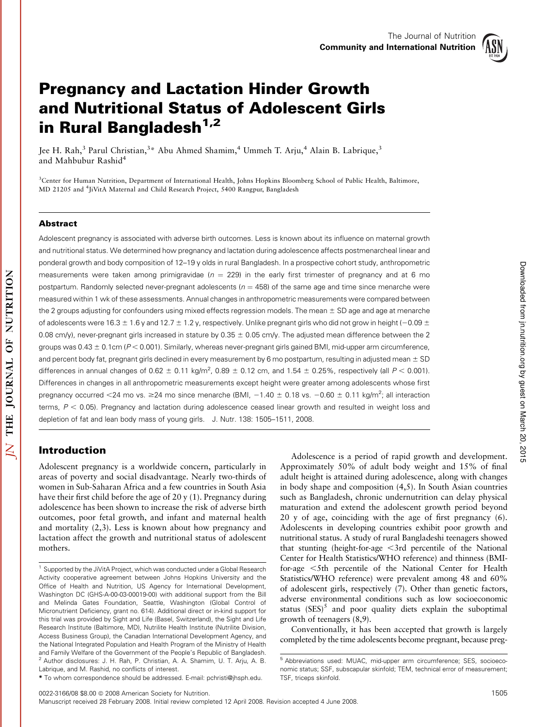

# Pregnancy and Lactation Hinder Growth and Nutritional Status of Adolescent Girls in Rural Bangladesh<sup>1,2</sup>

Jee H. Rah,<sup>3</sup> Parul Christian,<sup>3</sup>\* Abu Ahmed Shamim,<sup>4</sup> Ummeh T. Arju,<sup>4</sup> Alain B. Labrique,<sup>3</sup> and Mahbubur Rashid<sup>4</sup>

<sup>3</sup>Center for Human Nutrition, Department of International Health, Johns Hopkins Bloomberg School of Public Health, Baltimore, MD 21205 and <sup>4</sup> JiVitA Maternal and Child Research Project, 5400 Rangpur, Bangladesh

#### Abstract

Adolescent pregnancy is associated with adverse birth outcomes. Less is known about its influence on maternal growth and nutritional status. We determined how pregnancy and lactation during adolescence affects postmenarcheal linear and ponderal growth and body composition of 12–19 y olds in rural Bangladesh. In a prospective cohort study, anthropometric measurements were taken among primigravidae ( $n = 229$ ) in the early first trimester of pregnancy and at 6 mo postpartum. Randomly selected never-pregnant adolescents ( $n = 458$ ) of the same age and time since menarche were measured within 1 wk of these assessments. Annual changes in anthropometric measurements were compared between the 2 groups adjusting for confounders using mixed effects regression models. The mean  $\pm$  SD age and age at menarche of adolescents were 16.3  $\pm$  1.6 y and 12.7  $\pm$  1.2 y, respectively. Unlike pregnant girls who did not grow in height (-0.09  $\pm$ 0.08 cm/y), never-pregnant girls increased in stature by 0.35  $\pm$  0.05 cm/y. The adjusted mean difference between the 2 groups was  $0.43 \pm 0.1$ cm ( $P < 0.001$ ). Similarly, whereas never-pregnant girls gained BMI, mid-upper arm circumference, and percent body fat, pregnant girls declined in every measurement by 6 mo postpartum, resulting in adjusted mean  $\pm$  SD differences in annual changes of 0.62  $\pm$  0.11 kg/m<sup>2</sup>, 0.89  $\pm$  0.12 cm, and 1.54  $\pm$  0.25%, respectively (all  $P$  < 0.001). Differences in changes in all anthropometric measurements except height were greater among adolescents whose first pregnancy occurred <24 mo vs.  $\geq$ 24 mo since menarche (BMI,  $-1.40 \pm 0.18$  vs.  $-0.60 \pm 0.11$  kg/m<sup>2</sup>; all interaction terms,  $P < 0.05$ ). Pregnancy and lactation during adolescence ceased linear growth and resulted in weight loss and depletion of fat and lean body mass of young girls. J. Nutr. 138: 1505–1511, 2008.

## Introduction

Adolescent pregnancy is a worldwide concern, particularly in areas of poverty and social disadvantage. Nearly two-thirds of women in Sub-Saharan Africa and a few countries in South Asia have their first child before the age of 20 y (1). Pregnancy during adolescence has been shown to increase the risk of adverse birth outcomes, poor fetal growth, and infant and maternal health and mortality (2,3). Less is known about how pregnancy and lactation affect the growth and nutritional status of adolescent mothers.

Adolescence is a period of rapid growth and development. Approximately 50% of adult body weight and 15% of final adult height is attained during adolescence, along with changes in body shape and composition (4,5). In South Asian countries such as Bangladesh, chronic undernutrition can delay physical maturation and extend the adolescent growth period beyond 20 y of age, coinciding with the age of first pregnancy (6). Adolescents in developing countries exhibit poor growth and nutritional status. A study of rural Bangladeshi teenagers showed that stunting (height-for-age  $\leq$ 3rd percentile of the National Center for Health Statistics/WHO reference) and thinness (BMIfor-age <5th percentile of the National Center for Health Statistics/WHO reference) were prevalent among 48 and 60% of adolescent girls, respectively (7). Other than genetic factors, adverse environmental conditions such as low socioeconomic status  $(SES)^5$  and poor quality diets explain the suboptimal growth of teenagers (8,9).

Conventionally, it has been accepted that growth is largely completed by the time adolescents become pregnant, because preg-

<sup>&</sup>lt;sup>1</sup> Supported by the JiVitA Project, which was conducted under a Global Research Activity cooperative agreement between Johns Hopkins University and the Office of Health and Nutrition, US Agency for International Development, Washington DC (GHS-A-00-03-00019-00) with additional support from the Bill and Melinda Gates Foundation, Seattle, Washington (Global Control of Micronutrient Deficiency, grant no. 614). Additional direct or in-kind support for this trial was provided by Sight and Life (Basel, Switzerland), the Sight and Life Research Institute (Baltimore, MD), Nutrilite Health Institute (Nutrilite Division, Access Business Group), the Canadian International Development Agency, and the National Integrated Population and Health Program of the Ministry of Health and Family Welfare of the Government of the People's Republic of Bangladesh. <sup>2</sup> Author disclosures: J. H. Rah, P. Christian, A. A. Shamim, U. T. Arju, A. B. Labrique, and M. Rashid, no conflicts of interest.

<sup>\*</sup> To whom correspondence should be addressed. E-mail: pchristi@jhsph.edu.

<sup>5</sup> Abbreviations used: MUAC, mid-upper arm circumference; SES, socioeconomic status; SSF, subscapular skinfold; TEM, technical error of measurement; TSF, triceps skinfold.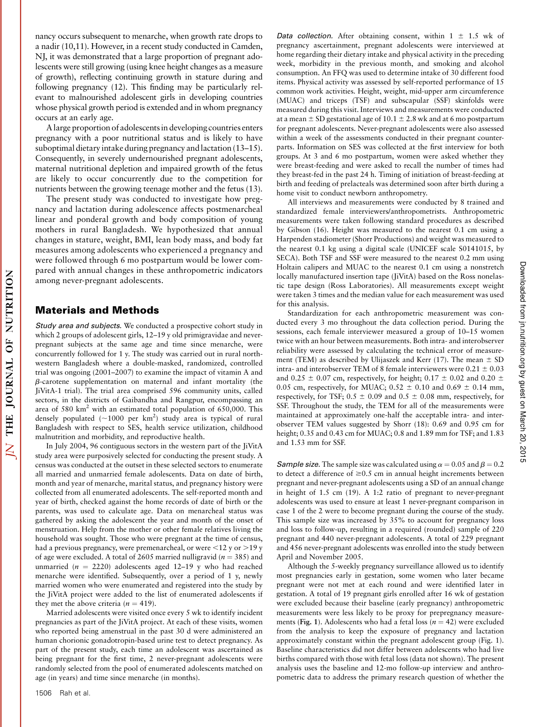nancy occurs subsequent to menarche, when growth rate drops to a nadir (10,11). However, in a recent study conducted in Camden, NJ, it was demonstrated that a large proportion of pregnant adolescents were still growing (using knee height changes as a measure of growth), reflecting continuing growth in stature during and following pregnancy (12). This finding may be particularly relevant to malnourished adolescent girls in developing countries whose physical growth period is extended and in whom pregnancy occurs at an early age.

A large proportion of adolescentsin developing countries enters pregnancy with a poor nutritional status and is likely to have suboptimal dietary intake during pregnancy and lactation (13-15). Consequently, in severely undernourished pregnant adolescents, maternal nutritional depletion and impaired growth of the fetus are likely to occur concurrently due to the competition for nutrients between the growing teenage mother and the fetus (13).

The present study was conducted to investigate how pregnancy and lactation during adolescence affects postmenarcheal linear and ponderal growth and body composition of young mothers in rural Bangladesh. We hypothesized that annual changes in stature, weight, BMI, lean body mass, and body fat measures among adolescents who experienced a pregnancy and were followed through 6 mo postpartum would be lower compared with annual changes in these anthropometric indicators among never-pregnant adolescents.

### Materials and Methods

NUTRITION

ÖF

**JOURNAL** 

THE

Ā

Study area and subjects. We conducted a prospective cohort study in which 2 groups of adolescent girls, 12–19 y old primigravidae and neverpregnant subjects at the same age and time since menarche, were concurrently followed for 1 y. The study was carried out in rural northwestern Bangladesh where a double-masked, randomized, controlled trial was ongoing (2001–2007) to examine the impact of vitamin A and  $\beta$ -carotene supplementation on maternal and infant mortality (the JiVitA-1 trial). The trial area comprised 596 community units, called sectors, in the districts of Gaibandha and Rangpur, encompassing an area of 580  $km^2$  with an estimated total population of 650,000. This densely populated ( $\sim$ 1000 per km<sup>2</sup>) study area is typical of rural Bangladesh with respect to SES, health service utilization, childhood malnutrition and morbidity, and reproductive health.

In July 2004, 96 contiguous sectors in the western part of the JiVitA study area were purposively selected for conducting the present study. A census was conducted at the outset in these selected sectors to enumerate all married and unmarried female adolescents. Data on date of birth, month and year of menarche, marital status, and pregnancy history were collected from all enumerated adolescents. The self-reported month and year of birth, checked against the home records of date of birth or the parents, was used to calculate age. Data on menarcheal status was gathered by asking the adolescent the year and month of the onset of menstruation. Help from the mother or other female relatives living the household was sought. Those who were pregnant at the time of census, had a previous pregnancy, were premenarcheal, or were  $\leq$ 12 y or  $>$ 19 y of age were excluded. A total of 2605 married nulligravid ( $n = 385$ ) and unmarried ( $n = 2220$ ) adolescents aged 12–19 y who had reached menarche were identified. Subsequently, over a period of 1 y, newly married women who were enumerated and registered into the study by the JiVitA project were added to the list of enumerated adolescents if they met the above criteria ( $n = 419$ ).

Married adolescents were visited once every 5 wk to identify incident pregnancies as part of the JiVitA project. At each of these visits, women who reported being amenstrual in the past 30 d were administered an human chorionic gonadotropin-based urine test to detect pregnancy. As part of the present study, each time an adolescent was ascertained as being pregnant for the first time, 2 never-pregnant adolescents were randomly selected from the pool of enumerated adolescents matched on age (in years) and time since menarche (in months).

Data collection. After obtaining consent, within  $1 \pm 1.5$  wk of pregnancy ascertainment, pregnant adolescents were interviewed at home regarding their dietary intake and physical activity in the preceding week, morbidity in the previous month, and smoking and alcohol consumption. An FFQ was used to determine intake of 30 different food items. Physical activity was assessed by self-reported performance of 15 common work activities. Height, weight, mid-upper arm circumference (MUAC) and triceps (TSF) and subscapular (SSF) skinfolds were measured during this visit. Interviews and measurements were conducted at a mean  $\pm$  SD gestational age of 10.1  $\pm$  2.8 wk and at 6 mo postpartum for pregnant adolescents. Never-pregnant adolescents were also assessed within a week of the assessments conducted in their pregnant counterparts. Information on SES was collected at the first interview for both groups. At 3 and 6 mo postpartum, women were asked whether they were breast-feeding and were asked to recall the number of times had they breast-fed in the past 24 h. Timing of initiation of breast-feeding at birth and feeding of prelacteals was determined soon after birth during a home visit to conduct newborn anthropometry.

All interviews and measurements were conducted by 8 trained and standardized female interviewers/anthropometrists. Anthropometric measurements were taken following standard procedures as described by Gibson (16). Height was measured to the nearest 0.1 cm using a Harpenden stadiometer (Shorr Productions) and weight was measured to the nearest 0.1 kg using a digital scale (UNICEF scale S0141015, by SECA). Both TSF and SSF were measured to the nearest 0.2 mm using Holtain calipers and MUAC to the nearest 0.1 cm using a nonstretch locally manufactured insertion tape (JiVitA) based on the Ross nonelastic tape design (Ross Laboratories). All measurements except weight were taken 3 times and the median value for each measurement was used for this analysis.

Standardization for each anthropometric measurement was conducted every 3 mo throughout the data collection period. During the sessions, each female interviewer measured a group of 10–15 women twice with an hour between measurements. Both intra- and interobserver reliability were assessed by calculating the technical error of measurement (TEM) as described by Ulijaszek and Kerr (17). The mean  $\pm$  SD intra- and interobserver TEM of 8 female interviewers were  $0.21 \pm 0.03$ and 0.25  $\pm$  0.07 cm, respectively, for height; 0.17  $\pm$  0.02 and 0.20  $\pm$ 0.05 cm, respectively, for MUAC;  $0.52 \pm 0.10$  and  $0.69 \pm 0.14$  mm, respectively, for TSF;  $0.5 \pm 0.09$  and  $0.5 \pm 0.08$  mm, respectively, for SSF. Throughout the study, the TEM for all of the measurements were maintained at approximately one-half the acceptable intra- and interobserver TEM values suggested by Shorr (18): 0.69 and 0.95 cm for height; 0.35 and 0.43 cm for MUAC; 0.8 and 1.89 mm for TSF; and 1.83 and 1.53 mm for SSF.

**Sample size.** The sample size was calculated using  $\alpha = 0.05$  and  $\beta = 0.2$ to detect a difference of  $\geq 0.5$  cm in annual height increments between pregnant and never-pregnant adolescents using a SD of an annual change in height of 1.5 cm (19). A 1:2 ratio of pregnant to never-pregnant adolescents was used to ensure at least 1 never-pregnant comparison in case 1 of the 2 were to become pregnant during the course of the study. This sample size was increased by 35% to account for pregnancy loss and loss to follow-up, resulting in a required (rounded) sample of 220 pregnant and 440 never-pregnant adolescents. A total of 229 pregnant and 456 never-pregnant adolescents was enrolled into the study between April and November 2005.

Although the 5-weekly pregnancy surveillance allowed us to identify most pregnancies early in gestation, some women who later became pregnant were not met at each round and were identified later in gestation. A total of 19 pregnant girls enrolled after 16 wk of gestation were excluded because their baseline (early pregnancy) anthropometric measurements were less likely to be proxy for prepregnancy measurements (Fig. 1). Adolescents who had a fetal loss ( $n = 42$ ) were excluded from the analysis to keep the exposure of pregnancy and lactation approximately constant within the pregnant adolescent group (Fig. 1). Baseline characteristics did not differ between adolescents who had live births compared with those with fetal loss (data not shown). The present analysis uses the baseline and 12-mo follow-up interview and anthropometric data to address the primary research question of whether the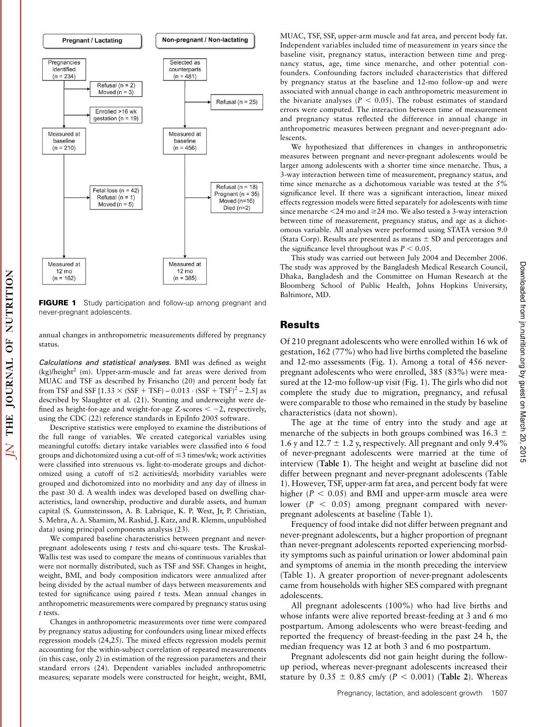

FIGURE 1 Study participation and follow-up among pregnant and never-pregnant adolescents.

annual changes in anthropometric measurements differed by pregnancy status.

Calculations and statistical analyses. BMI was defined as weight  $(kg)/height<sup>2</sup>$  (m). Upper-arm-muscle and fat areas were derived from MUAC and TSF as described by Frisancho (20) and percent body fat from TSF and SSF  $[1.33 \times (SSF + TSF) - 0.013 \cdot (SSF + TSF)^{2} - 2.5]$  as described by Slaughter et al. (21). Stunting and underweight were defined as height-for-age and weight-for-age Z-scores  $<-2$ , respectively, using the CDC (22) reference standards in EpiInfo 2005 software.

Descriptive statistics were employed to examine the distributions of the full range of variables. We created categorical variables using meaningful cutoffs: dietary intake variables were classified into 6 food groups and dichotomized using a cut-off of  $\leq$ 3 times/wk; work activities were classified into strenuous vs. light-to-moderate groups and dichotomized using a cutoff of  $\leq$ 2 activities/d; morbidity variables were grouped and dichotomized into no morbidity and any day of illness in the past 30 d. A wealth index was developed based on dwelling characteristics, land ownership, productive and durable assets, and human capital (S. Gunnsteinsson, A. B. Labrique, K. P. West, Jr, P. Christian, S. Mehra, A. A. Shamim, M. Rashid, J. Katz, and R. Klemm, unpublished data) using principal components analysis (23).

We compared baseline characteristics between pregnant and neverpregnant adolescents using  $t$  tests and chi-square tests. The Kruskal-Wallis test was used to compare the means of continuous variables that were not normally distributed, such as TSF and SSF. Changes in height, weight, BMI, and body composition indicators were annualized after being divided by the actual number of days between measurements and tested for significance using paired  $t$  tests. Mean annual changes in anthropometric measurements were compared by pregnancy status using t tests.

Changes in anthropometric measurements over time were compared by pregnancy status adjusting for confounders using linear mixed effects regression models (24,25). The mixed effects regression models permit accounting for the within-subject correlation of repeated measurements (in this case, only 2) in estimation of the regression parameters and their standard errors (24). Dependent variables included anthropometric measures; separate models were constructed for height, weight, BMI,

MUAC, TSF, SSF, upper-arm muscle and fat area, and percent body fat. Independent variables included time of measurement in years since the baseline visit, pregnancy status, interaction between time and pregnancy status, age, time since menarche, and other potential confounders. Confounding factors included characteristics that differed by pregnancy status at the baseline and 12-mo follow-up and were associated with annual change in each anthropometric measurement in the bivariate analyses ( $P < 0.05$ ). The robust estimates of standard errors were computed. The interaction between time of measurement and pregnancy status reflected the difference in annual change in anthropometric measures between pregnant and never-pregnant adolescents.

We hypothesized that differences in changes in anthropometric measures between pregnant and never-pregnant adolescents would be larger among adolescents with a shorter time since menarche. Thus, a 3-way interaction between time of measurement, pregnancy status, and time since menarche as a dichotomous variable was tested at the 5% significance level. If there was a significant interaction, linear mixed effects regression models were fitted separately for adolescents with time since menarche <24 mo and  $\geq$ 24 mo. We also tested a 3-way interaction between time of measurement, pregnancy status, and age as a dichotomous variable. All analyses were performed using STATA version 9.0 (Stata Corp). Results are presented as means  $\pm$  SD and percentages and the significance level throughout was  $P < 0.05$ .

This study was carried out between July 2004 and December 2006. The study was approved by the Bangladesh Medical Research Council, Dhaka, Bangladesh and the Committee on Human Research at the Bloomberg School of Public Health, Johns Hopkins University, Baltimore, MD.

## Results

Of 210 pregnant adolescents who were enrolled within 16 wk of gestation, 162 (77%) who had live births completed the baseline and 12-mo assessments (Fig. 1). Among a total of 456 neverpregnant adolescents who were enrolled, 385 (83%) were measured at the 12-mo follow-up visit (Fig. 1). The girls who did not complete the study due to migration, pregnancy, and refusal were comparable to those who remained in the study by baseline characteristics (data not shown).

The age at the time of entry into the study and age at menarche of the subjects in both groups combined was 16.3  $\pm$ 1.6 y and 12.7  $\pm$  1.2 y, respectively. All pregnant and only 9.4% of never-pregnant adolescents were married at the time of interview (Table 1). The height and weight at baseline did not differ between pregnant and never-pregnant adolescents (Table 1). However, TSF, upper-arm fat area, and percent body fat were higher ( $P < 0.05$ ) and BMI and upper-arm muscle area were lower ( $P < 0.05$ ) among pregnant compared with neverpregnant adolescents at baseline (Table 1).

Frequency of food intake did not differ between pregnant and never-pregnant adolescents, but a higher proportion of pregnant than never-pregnant adolescents reported experiencing morbidity symptoms such as painful urination or lower abdominal pain and symptoms of anemia in the month preceding the interview (Table 1). A greater proportion of never-pregnant adolescents came from households with higher SES compared with pregnant adolescents.

All pregnant adolescents (100%) who had live births and whose infants were alive reported breast-feeding at 3 and 6 mo postpartum. Among adolescents who were breast-feeding and reported the frequency of breast-feeding in the past 24 h, the median frequency was 12 at both 3 and 6 mo postpartum.

Pregnant adolescents did not gain height during the followup period, whereas never-pregnant adolescents increased their stature by  $0.35 \pm 0.85$  cm/y ( $P < 0.001$ ) (Table 2). Whereas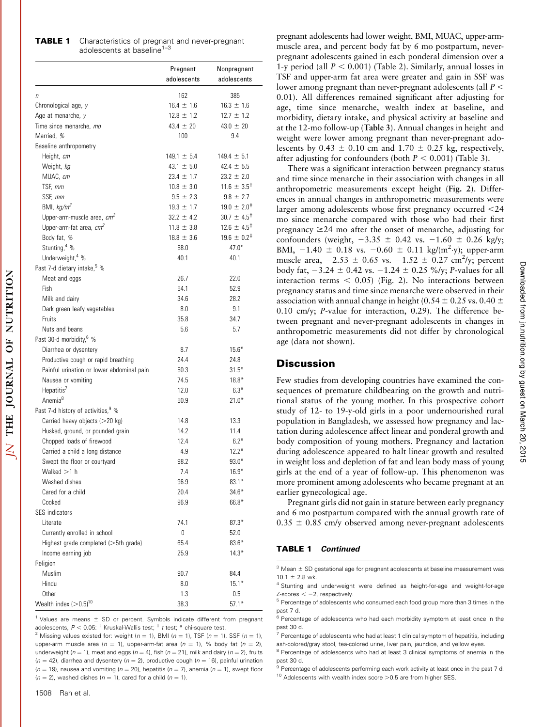| <b>TABLE 1</b> Characteristics of pregnant and never-pregnant |
|---------------------------------------------------------------|
| adolescents at baseline <sup>1-3</sup>                        |

|                                           | Pregnant<br>adolescents | Nonpregnant<br>adolescents |
|-------------------------------------------|-------------------------|----------------------------|
|                                           | 162                     | 385                        |
| П<br>Chronological age, y                 | $16.4 \pm 1.6$          | $16.3 \pm 1.6$             |
| Age at menarche, y                        | $12.8 \pm 1.2$          | $12.7 \pm 1.2$             |
|                                           | $43.4 \pm 20$           | $43.0 \pm 20$              |
| Time since menarche, mo                   |                         |                            |
| Married, %                                | 100                     | 9.4                        |
| Baseline anthropometry                    |                         |                            |
| Height, cm                                | $149.1 \pm 5.4$         | $149.4 \pm 5.1$            |
| Weight, kg                                | $43.1 \pm 5.0$          | $42.4 \pm 5.5$             |
| MUAC, cm                                  | $23.4 \pm 1.7$          | $23.2 \pm 2.0$             |
| TSF, mm                                   | $10.8 \pm 3.0$          | $11.6 \pm 3.5^{\dagger}$   |
| SSF, mm                                   | $9.5 \pm 2.3$           | $9.8 \pm 2.7$              |
| BMI, $kg/m^2$                             | $19.3 \pm 1.7$          | $19.0 \pm 2.0^{\ddagger}$  |
| Upper-arm-muscle area, cm <sup>2</sup>    | $32.2 \pm 4.2$          | $30.7 \pm 4.5^{\ddagger}$  |
| Upper-arm-fat area, cm <sup>2</sup>       | $11.8 \pm 3.8$          | $12.6 \pm 4.5^{\ddagger}$  |
| Body fat, %                               | $18.8 \pm 3.6$          | $19.6 \pm 0.2^{\ddagger}$  |
| Stunting, <sup>4</sup> %                  | 58.0                    | $47.0*$                    |
| Underweight, <sup>4</sup> %               | 40.1                    | 40.1                       |
| Past 7-d dietary intake, <sup>5</sup> %   |                         |                            |
| Meat and eggs                             | 26.7                    | 22.0                       |
| Fish                                      | 54.1                    | 52.9                       |
| Milk and dairy                            | 34.6                    | 28.2                       |
| Dark green leafy vegetables               | 8.0                     | 9.1                        |
| Fruits                                    | 35.8                    | 34.7                       |
| Nuts and beans                            | 5.6                     | 5.7                        |
| Past 30-d morbidity, <sup>6</sup> %       |                         |                            |
| Diarrhea or dysentery                     | 8.7                     | $15.6*$                    |
| Productive cough or rapid breathing       | 24.4                    | 24.8                       |
| Painful urination or lower abdominal pain | 50.3                    | $31.5*$                    |
| Nausea or vomiting                        | 74.5                    | $18.8*$                    |
| Hepatitis <sup>7</sup>                    | 12.0                    | $6.3*$                     |
| Anemia <sup>8</sup>                       | 50.9                    | $21.0*$                    |
| Past 7-d history of activities, 9%        |                         |                            |
| Carried heavy objects (>20 kg)            | 14.8                    | 13.3                       |
| Husked, ground, or pounded grain          | 14.2                    | 11.4                       |
| Chopped loads of firewood                 | 12.4                    | $6.2*$                     |
| Carried a child a long distance           | 4.9                     | $12.2*$                    |
| Swept the floor or courtyard              | 98.2                    | $93.0*$                    |
| Walked $>1$ h                             | 7.4                     | $16.9*$                    |
| Washed dishes                             | 96.9                    | $83.1*$                    |
| Cared for a child                         | 20.4                    | $34.6*$                    |
| Cooked                                    | 96.9                    | 66.8*                      |
| <b>SES</b> indicators                     |                         |                            |
| Literate                                  | 74.1                    | $87.3*$                    |
| Currently enrolled in school              | 0                       | 52.0                       |
| Highest grade completed (>5th grade)      | 65.4                    | $83.6*$                    |
| Income earning job                        | 25.9                    | $14.3*$                    |
| Religion                                  |                         |                            |
| Muslim                                    | 90.7                    | 84.4                       |
| Hindu                                     |                         | $15.1*$                    |
| Other                                     | 8.0<br>1.3              | $0.5\,$                    |
| Wealth index $(>0.5)^{10}$                | 38.3                    | $57.1*$                    |
|                                           |                         |                            |

<sup>1</sup> Values are means  $\pm$  SD or percent. Symbols indicate different from pregnant adolescents,  $P < 0.05$ :  $^\dagger$  Kruskal-Wallis test;  $^{\ddagger}$  t test;  $^{\ast}$  chi-square test.

<sup>2</sup> Missing values existed for: weight ( $n = 1$ ), BMI ( $n = 1$ ), TSF ( $n = 1$ ), SSF ( $n = 1$ ), upper-arm muscle area ( $n = 1$ ), upper-arm-fat area ( $n = 1$ ), % body fat ( $n = 2$ ), underweight ( $n = 1$ ), meat and eggs ( $n = 4$ ), fish ( $n = 21$ ), milk and dairy ( $n = 2$ ), fruits ( $n = 42$ ), diarrhea and dysentery ( $n = 2$ ), productive cough ( $n = 16$ ), painful urination  $(n = 19)$ , nausea and vomiting ( $n = 20$ ), hepatitis ( $n = 7$ ), anemia ( $n = 1$ ), swept floor  $(n = 2)$ , washed dishes  $(n = 1)$ , cared for a child  $(n = 1)$ .

pregnant adolescents had lower weight, BMI, MUAC, upper-armmuscle area, and percent body fat by 6 mo postpartum, neverpregnant adolescents gained in each ponderal dimension over a 1-y period (all  $P < 0.001$ ) (Table 2). Similarly, annual losses in TSF and upper-arm fat area were greater and gain in SSF was lower among pregnant than never-pregnant adolescents (all  $P \leq$ 0.01). All differences remained significant after adjusting for age, time since menarche, wealth index at baseline, and morbidity, dietary intake, and physical activity at baseline and at the 12-mo follow-up (Table 3). Annual changes in height and weight were lower among pregnant than never-pregnant adolescents by 0.43  $\pm$  0.10 cm and 1.70  $\pm$  0.25 kg, respectively, after adjusting for confounders (both  $P < 0.001$ ) (Table 3).

There was a significant interaction between pregnancy status and time since menarche in their association with changes in all anthropometric measurements except height (Fig. 2). Differences in annual changes in anthropometric measurements were larger among adolescents whose first pregnancy occurred  $<$ 24 mo since menarche compared with those who had their first pregnancy  $\geq$ 24 mo after the onset of menarche, adjusting for confounders (weight,  $-3.35 \pm 0.42$  vs.  $-1.60 \pm 0.26$  kg/y; BMI,  $-1.40 \pm 0.18$  vs.  $-0.60 \pm 0.11$  kg/(m<sup>2</sup>·y); upper-arm muscle area,  $-2.53 \pm 0.65$  vs.  $-1.52 \pm 0.27$  cm<sup>2</sup>/y; percent body fat,  $-3.24 \pm 0.42$  vs.  $-1.24 \pm 0.25$  %/y; P-values for all interaction terms  $< 0.05$ ) (Fig. 2). No interactions between pregnancy status and time since menarche were observed in their association with annual change in height (0.54  $\pm$  0.25 vs. 0.40  $\pm$ 0.10 cm/y; P-value for interaction, 0.29). The difference between pregnant and never-pregnant adolescents in changes in anthropometric measurements did not differ by chronological age (data not shown).

### Discussion

Few studies from developing countries have examined the consequences of premature childbearing on the growth and nutritional status of the young mother. In this prospective cohort study of 12- to 19-y-old girls in a poor undernourished rural population in Bangladesh, we assessed how pregnancy and lactation during adolescence affect linear and ponderal growth and body composition of young mothers. Pregnancy and lactation during adolescence appeared to halt linear growth and resulted in weight loss and depletion of fat and lean body mass of young girls at the end of a year of follow-up. This phenomenon was more prominent among adolescents who became pregnant at an earlier gynecological age.

Pregnant girls did not gain in stature between early pregnancy and 6 mo postpartum compared with the annual growth rate of  $0.35 \pm 0.85$  cm/y observed among never-pregnant adolescents

#### TABLE 1 Continued

 $3$  Mean  $\pm$  SD gestational age for pregnant adolescents at baseline measurement was  $10.1 \pm 2.8$  wk.

JOURNAL OF NUTRITION

THE

 $\overline{\mathsf{K}}$ 

<sup>&</sup>lt;sup>4</sup> Stunting and underweight were defined as height-for-age and weight-for-age  $Z$ -scores  $<-2$ , respectively.

<sup>&</sup>lt;sup>5</sup> Percentage of adolescents who consumed each food group more than 3 times in the past 7 d.

<sup>&</sup>lt;sup>6</sup> Percentage of adolescents who had each morbidity symptom at least once in the past 30 d.

<sup>&</sup>lt;sup>7</sup> Percentage of adolescents who had at least 1 clinical symptom of hepatitis, including ash-colored/gray stool, tea-colored urine, liver pain, jaundice, and yellow eyes.

<sup>&</sup>lt;sup>8</sup> Percentage of adolescents who had at least 3 clinical symptoms of anemia in the past 30 d.

<sup>&</sup>lt;sup>9</sup> Percentage of adolescents performing each work activity at least once in the past 7 d.  $10$  Adolescents with wealth index score  $>0.5$  are from higher SES.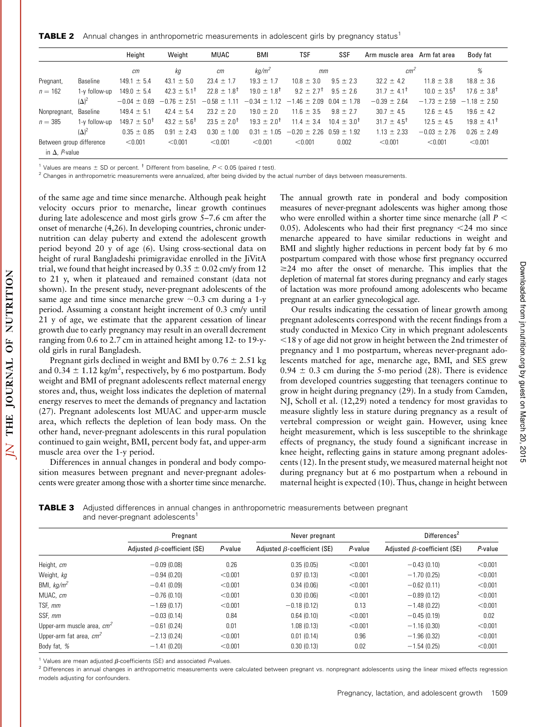**TABLE 2** Annual changes in anthropometric measurements in adolescent girls by pregnancy status<sup>1</sup>

|                               |               | Height                    | Weight                   | MUAC                        | BMI                      | <b>TSF</b>                       | <b>SSF</b>               | Arm muscle area          | Arm fat area             | Body fat                 |  |
|-------------------------------|---------------|---------------------------|--------------------------|-----------------------------|--------------------------|----------------------------------|--------------------------|--------------------------|--------------------------|--------------------------|--|
|                               |               | cm                        | кg                       | cm                          | $kq/m^2$                 | mm                               |                          | cm <sup>2</sup>          |                          | %                        |  |
| Pregnant,                     | Baseline      | $149.1 \pm 5.4$           | $43.1 \pm 5.0$           | $23.4 \pm 1.7$              | $19.3 \pm 1.7$           | $10.8 \pm 3.0$                   | $9.5 \pm 2.3$            | $32.2 \pm 4.2$           | $11.8 \pm 3.8$           | $18.8 \pm 3.6$           |  |
| $n = 162$                     | 1-y follow-up | $149.0 \pm 5.4$           | $42.3 \pm 5.1^{\dagger}$ | $22.8 \pm 1.8$ <sup>†</sup> | $19.0 \pm 1.8^{\dagger}$ | $9.2 \pm 2.7^{\dagger}$          | $9.5 \pm 2.6$            | $31.7 \pm 4.1^{\dagger}$ | $10.0 \pm 3.5^{\dagger}$ | $17.6 \pm 3.8^{\dagger}$ |  |
|                               | $(\Delta)^2$  | $-0.04 \pm 0.69$          | $-0.76 \pm 2.51$         | $-0.58 \pm 1.11$            | $-0.34 \pm 1.12$         | $-1.46 \pm 2.09$ 0.04 $\pm$ 1.78 |                          | $-0.39 \pm 2.64$         | $-1.73 \pm 2.59$         | $-1.18 \pm 2.50$         |  |
| Nonpregnant,                  | Baseline      | $149.4 \pm 5.1$           | $42.4 \pm 5.4$           | $23.2 \pm 2.0$              | $19.0 \pm 2.0$           | $11.6 \pm 3.5$                   | $9.8 \pm 2.7$            | $30.7 \pm 4.5$           | $12.6 \pm 4.5$           | $19.6 \pm 4.2$           |  |
| $n = 385$                     | 1-y follow-up | $149.7 \pm 5.0^{\dagger}$ | $43.2 \pm 5.6^{\dagger}$ | $23.5 \pm 2.0^{\dagger}$    | $19.3 \pm 2.0^{\dagger}$ | $11.4 \pm 3.4$                   | $10.4 \pm 3.0^{\dagger}$ | $31.7 \pm 4.5^{\dagger}$ | $12.5 \pm 4.5$           | $19.8 \pm 4.1^{\dagger}$ |  |
|                               | $(\Delta)^2$  | $0.35 \pm 0.85$           | $0.91 \pm 2.43$          | $0.30 \pm 1.00$             | $0.31 \pm 1.05$          | $-0.20 \pm 2.26$ 0.59 $\pm$ 1.92 |                          | $1.13 \pm 2.33$          | $-0.03 \pm 2.76$         | $0.26 \pm 2.49$          |  |
| Between group difference      |               | < 0.001                   | < 0.001                  | < 0.001                     | < 0.001                  | < 0.001                          | 0.002                    | < 0.001                  | < 0.001                  | < 0.001                  |  |
| in $\Delta$ , <i>P</i> -value |               |                           |                          |                             |                          |                                  |                          |                          |                          |                          |  |

<sup>1</sup> Values are means  $\pm$  SD or percent. <sup>†</sup> Different from baseline,  $P < 0.05$  (paired t test).

 $2$  Changes in anthropometric measurements were annualized, after being divided by the actual number of days between measurements.

of the same age and time since menarche. Although peak height velocity occurs prior to menarche, linear growth continues during late adolescence and most girls grow 5–7.6 cm after the onset of menarche (4,26). In developing countries, chronic undernutrition can delay puberty and extend the adolescent growth period beyond 20 y of age (6). Using cross-sectional data on height of rural Bangladeshi primigravidae enrolled in the JiVitA trial, we found that height increased by  $0.35 \pm 0.02$  cm/y from 12 to 21 y, when it plateaued and remained constant (data not shown). In the present study, never-pregnant adolescents of the same age and time since menarche grew  $\sim 0.3$  cm during a 1-y period. Assuming a constant height increment of 0.3 cm/y until 21 y of age, we estimate that the apparent cessation of linear growth due to early pregnancy may result in an overall decrement ranging from 0.6 to 2.7 cm in attained height among 12- to 19-yold girls in rural Bangladesh.

Pregnant girls declined in weight and BMI by  $0.76 \pm 2.51$  kg and  $0.34 \pm 1.12$  kg/m<sup>2</sup>, respectively, by 6 mo postpartum. Body weight and BMI of pregnant adolescents reflect maternal energy stores and, thus, weight loss indicates the depletion of maternal energy reserves to meet the demands of pregnancy and lactation (27). Pregnant adolescents lost MUAC and upper-arm muscle area, which reflects the depletion of lean body mass. On the other hand, never-pregnant adolescents in this rural population continued to gain weight, BMI, percent body fat, and upper-arm muscle area over the 1-y period.

Differences in annual changes in ponderal and body composition measures between pregnant and never-pregnant adolescents were greater among those with a shorter time since menarche. The annual growth rate in ponderal and body composition measures of never-pregnant adolescents was higher among those who were enrolled within a shorter time since menarche (all  $P \leq$ 0.05). Adolescents who had their first pregnancy  $\leq$  24 mo since menarche appeared to have similar reductions in weight and BMI and slightly higher reductions in percent body fat by 6 mo postpartum compared with those whose first pregnancy occurred  $\geq$ 24 mo after the onset of menarche. This implies that the depletion of maternal fat stores during pregnancy and early stages of lactation was more profound among adolescents who became pregnant at an earlier gynecological age.

Our results indicating the cessation of linear growth among pregnant adolescents correspond with the recent findings from a study conducted in Mexico City in which pregnant adolescents  $<$ 18 y of age did not grow in height between the 2nd trimester of pregnancy and 1 mo postpartum, whereas never-pregnant adolescents matched for age, menarche age, BMI, and SES grew  $0.94 \pm 0.3$  cm during the 5-mo period (28). There is evidence from developed countries suggesting that teenagers continue to grow in height during pregnancy (29). In a study from Camden, NJ, Scholl et al. (12,29) noted a tendency for most gravidas to measure slightly less in stature during pregnancy as a result of vertebral compression or weight gain. However, using knee height measurement, which is less susceptible to the shrinkage effects of pregnancy, the study found a significant increase in knee height, reflecting gains in stature among pregnant adolescents (12). In the present study, we measured maternal height not during pregnancy but at 6 mo postpartum when a rebound in maternal height is expected (10). Thus, change in height between

**TABLE 3** Adjusted differences in annual changes in anthropometric measurements between pregnant and never-pregnant adolescents<sup>1</sup>

|                                        | Pregnant                           |         | Never pregnant                     |         | Differences <sup>2</sup>           |         |
|----------------------------------------|------------------------------------|---------|------------------------------------|---------|------------------------------------|---------|
|                                        | Adjusted $\beta$ -coefficient (SE) | P-value | Adjusted $\beta$ -coefficient (SE) | P-value | Adjusted $\beta$ -coefficient (SE) | P-value |
| Height, cm                             | $-0.09(0.08)$                      | 0.26    | 0.35(0.05)                         | < 0.001 | $-0.43(0.10)$                      | < 0.001 |
| Weight, kg                             | $-0.94(0.20)$                      | < 0.001 | 0.97(0.13)                         | < 0.001 | $-1.70(0.25)$                      | < 0.001 |
| BMI, $kg/m^2$                          | $-0.41(0.09)$                      | < 0.001 | 0.34(0.06)                         | < 0.001 | $-0.62(0.11)$                      | < 0.001 |
| MUAC, cm                               | $-0.76(0.10)$                      | < 0.001 | 0.30(0.06)                         | < 0.001 | $-0.89(0.12)$                      | < 0.001 |
| TSF. mm                                | $-1.69(0.17)$                      | < 0.001 | $-0.18(0.12)$                      | 0.13    | $-1.48(0.22)$                      | < 0.001 |
| SSF. mm                                | $-0.03(0.14)$                      | 0.84    | 0.64(0.10)                         | < 0.001 | $-0.45(0.19)$                      | 0.02    |
| Upper-arm muscle area, cm <sup>2</sup> | $-0.61(0.24)$                      | 0.01    | 1.08(0.13)                         | < 0.001 | $-1.16(0.30)$                      | < 0.001 |
| Upper-arm fat area, $cm2$              | $-2.13(0.24)$                      | < 0.001 | 0.01(0.14)                         | 0.96    | $-1.96(0.32)$                      | < 0.001 |
| Body fat. %                            | $-1.41(0.20)$                      | < 0.001 | 0.30(0.13)                         | 0.02    | $-1.54(0.25)$                      | < 0.001 |

<sup>1</sup> Values are mean adjusted  $\beta$ -coefficients (SE) and associated  $P$ -values.

<sup>2</sup> Differences in annual changes in anthropometric measurements were calculated between pregnant vs. nonpregnant adolescents using the linear mixed effects regression models adjusting for confounders.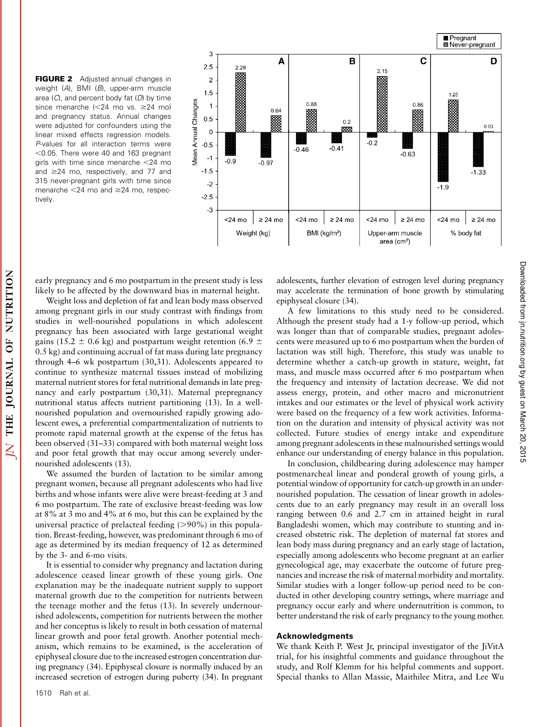FIGURE 2 Adjusted annual changes in weight (A), BMI (B), upper-arm muscle area  $(C)$ , and percent body fat  $(D)$  by time since menarche ( $<$ 24 mo vs.  $\geq$ 24 mo) and pregnancy status. Annual changes were adjusted for confounders using the linear mixed effects regression models. P-values for all interaction terms were  $<$  0.05. There were 40 and 163 pregnant girls with time since menarche  $<$ 24 mo and  $\geq$ 24 mo, respectively, and 77 and 315 never-pregnant girls with time since menarche  $<$ 24 mo and  $\geq$ 24 mo, respectively.

NUTRITION

ÖF

**JOURNAL** 

THE

Ā



early pregnancy and 6 mo postpartum in the present study is less likely to be affected by the downward bias in maternal height.

Weight loss and depletion of fat and lean body mass observed among pregnant girls in our study contrast with findings from studies in well-nourished populations in which adolescent pregnancy has been associated with large gestational weight gains (15.2  $\pm$  0.6 kg) and postpartum weight retention (6.9  $\pm$ 0.5 kg) and continuing accrual of fat mass during late pregnancy through 4–6 wk postpartum (30,31). Adolescents appeared to continue to synthesize maternal tissues instead of mobilizing maternal nutrient stores for fetal nutritional demands in late pregnancy and early postpartum (30,31). Maternal prepregnancy nutritional status affects nutrient partitioning (13). In a wellnourished population and overnourished rapidly growing adolescent ewes, a preferential compartmentalization of nutrients to promote rapid maternal growth at the expense of the fetus has been observed (31–33) compared with both maternal weight loss and poor fetal growth that may occur among severely undernourished adolescents (13).

We assumed the burden of lactation to be similar among pregnant women, because all pregnant adolescents who had live births and whose infants were alive were breast-feeding at 3 and 6 mo postpartum. The rate of exclusive breast-feeding was low at 8% at 3 mo and 4% at 6 mo, but this can be explained by the universal practice of prelacteal feeding  $(>90\%)$  in this population. Breast-feeding, however, was predominant through 6 mo of age as determined by its median frequency of 12 as determined by the 3- and 6-mo visits.

It is essential to consider why pregnancy and lactation during adolescence ceased linear growth of these young girls. One explanation may be the inadequate nutrient supply to support maternal growth due to the competition for nutrients between the teenage mother and the fetus (13). In severely undernourished adolescents, competition for nutrients between the mother and her conceptus is likely to result in both cessation of maternal linear growth and poor fetal growth. Another potential mechanism, which remains to be examined, is the acceleration of epiphyseal closure due to the increased estrogen concentration during pregnancy (34). Epiphyseal closure is normally induced by an increased secretion of estrogen during puberty (34). In pregnant by guest on March 20, 2015 [jn.nutrition.org](http://jn.nutrition.org/) Downloaded from

Downloaded from jn.nutrition.org by guest on March 20, 2015

adolescents, further elevation of estrogen level during pregnancy may accelerate the termination of bone growth by stimulating epiphyseal closure (34).

A few limitations to this study need to be considered. Although the present study had a 1-y follow-up period, which was longer than that of comparable studies, pregnant adolescents were measured up to 6 mo postpartum when the burden of lactation was still high. Therefore, this study was unable to determine whether a catch-up growth in stature, weight, fat mass, and muscle mass occurred after 6 mo postpartum when the frequency and intensity of lactation decrease. We did not assess energy, protein, and other macro and micronutrient intakes and our estimates or the level of physical work activity were based on the frequency of a few work activities. Information on the duration and intensity of physical activity was not collected. Future studies of energy intake and expenditure among pregnant adolescents in these malnourished settings would enhance our understanding of energy balance in this population.

In conclusion, childbearing during adolescence may hamper postmenarcheal linear and ponderal growth of young girls, a potential window of opportunity for catch-up growth in an undernourished population. The cessation of linear growth in adolescents due to an early pregnancy may result in an overall loss ranging between 0.6 and 2.7 cm in attained height in rural Bangladeshi women, which may contribute to stunting and increased obstetric risk. The depletion of maternal fat stores and lean body mass during pregnancy and an early stage of lactation, especially among adolescents who become pregnant at an earlier gynecological age, may exacerbate the outcome of future pregnancies and increase the risk of maternal morbidity and mortality. Similar studies with a longer follow-up period need to be conducted in other developing country settings, where marriage and pregnancy occur early and where undernutrition is common, to better understand the risk of early pregnancy to the young mother.

#### Acknowledgments

We thank Keith P. West Jr, principal investigator of the JiVitA trial, for his insightful comments and guidance throughout the study, and Rolf Klemm for his helpful comments and support. Special thanks to Allan Massie, Maithilee Mitra, and Lee Wu